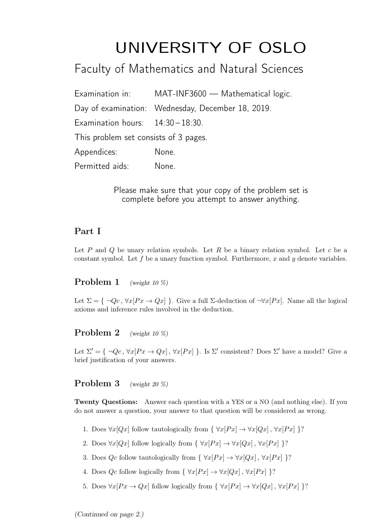# UNIVERSITY OF OSLO

# Faculty of Mathematics and Natural Sciences

|                                       | Examination in: MAT-INF3600 - Mathematical logic. |
|---------------------------------------|---------------------------------------------------|
|                                       | Day of examination: Wednesday, December 18, 2019. |
| Examination hours: $14:30-18:30$ .    |                                                   |
| This problem set consists of 3 pages. |                                                   |
| Appendices:                           | None.                                             |
| Permitted aids:                       | None.                                             |

Please make sure that your copy of the problem set is complete before you attempt to answer anything.

# Part I

Let P and Q be unary relation symbols. Let R be a binary relation symbol. Let c be a constant symbol. Let f be a unary function symbol. Furthermore, x and y denote variables.

# Problem 1 (weight 10 %)

Let  $\Sigma = \{\neg Q_c, \forall x [Px \rightarrow Qx]\}.$  Give a full  $\Sigma$ -deduction of  $\neg \forall x [Px]$ . Name all the logical axioms and inference rules involved in the deduction.

# **Problem 2** (weight 10 %)

Let  $\Sigma' = \{\neg Q_c, \forall x [Px \rightarrow Qx], \forall x [Px] \}.$  Is  $\Sigma'$  consistent? Does  $\Sigma'$  have a model? Give a brief justification of your answers.

# Problem 3 (weight 20 %)

Twenty Questions: Answer each question with a YES or a NO (and nothing else). If you do not answer a question, your answer to that question will be considered as wrong.

- 1. Does  $\forall x[Qx]$  follow tautologically from  $\{\forall x[Px] \rightarrow \forall x[Qx]$ ,  $\forall x[Px] \}$ ?
- 2. Does  $\forall x[Qx]$  follow logically from  $\{\forall x[Px] \rightarrow \forall x[Qx], \forall x[Px] \}$ ?
- 3. Does  $Qc$  follow tautologically from  $\{\forall x [Px] \rightarrow \forall x [Qx], \forall x [Px]\}$ ?
- 4. Does  $Qc$  follow logically from  $\{\forall x [Px] \rightarrow \forall x [Qx]$ ,  $\forall x [Px] \}$ ?
- 5. Does  $\forall x[Px \to Qx]$  follow logically from  $\{\forall x[Px] \to \forall x[Qx], \forall x[Px]\}$ ?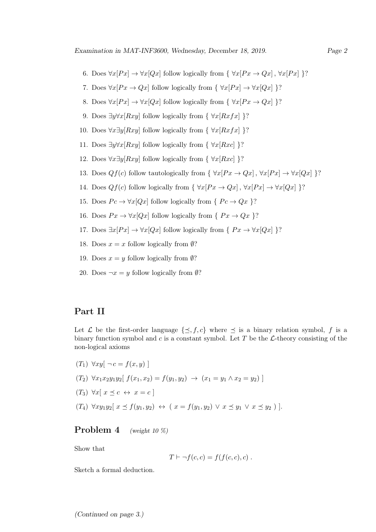- 6. Does  $\forall x[Px] \rightarrow \forall x[Qx]$  follow logically from  $\{\forall x[Px \rightarrow Qx], \forall x[Px]\}$ ?
- 7. Does  $\forall x[Px \to Qx]$  follow logically from  $\{\forall x[Px] \to \forall x[Qx]\}$ ?
- 8. Does  $\forall x[Px] \rightarrow \forall x[Qx]$  follow logically from  $\{\forall x[Px \rightarrow Qx]\}$ ?
- 9. Does  $\exists y \forall x [Rxy]$  follow logically from {  $\forall x [Rxfx]$  }?
- 10. Does  $\forall x \exists y [Rxy]$  follow logically from {  $\forall x [Rxfx]$  }?
- 11. Does  $\exists y \forall x [Rxy]$  follow logically from {  $\forall x [Rxc]$  }?
- 12. Does  $\forall x \exists y [Rxy]$  follow logically from {  $\forall x [Rxc]$  }?
- 13. Does  $Qf(c)$  follow tautologically from  $\{\forall x[Px \rightarrow Qx], \forall x[Px] \rightarrow \forall x[Qx] \}$ ?
- 14. Does  $Qf(c)$  follow logically from  $\{\forall x [Px \rightarrow Qx], \forall x [Px] \rightarrow \forall x [Qx]\}$ ?
- 15. Does  $Pc \to \forall x [Qx]$  follow logically from {  $Pc \to Qx$  }?
- 16. Does  $Px \rightarrow \forall x [Qx]$  follow logically from {  $Px \rightarrow Qx$  }?
- 17. Does  $\exists x[Px] \rightarrow \forall x[Qx]$  follow logically from {  $Px \rightarrow \forall x[Qx]$  }?
- 18. Does  $x = x$  follow logically from  $\emptyset$ ?
- 19. Does  $x = y$  follow logically from  $\emptyset$ ?
- 20. Does  $\neg x = y$  follow logically from  $\emptyset$ ?

#### Part II

Let  $\mathcal L$  be the first-order language  $\{\preceq, f, c\}$  where  $\preceq$  is a binary relation symbol, f is a binary function symbol and c is a constant symbol. Let  $T$  be the  $\mathcal{L}$ -theory consisting of the non-logical axioms

 $(T_1) \ \forall xy \ [\neg c = f(x, y)]$  $(T_2) \ \forall x_1 x_2 y_1 y_2$   $f(x_1, x_2) = f(y_1, y_2) \rightarrow (x_1 = y_1 \land x_2 = y_2)$  $(T_3) \ \forall x \ [\ x \preceq c \ \leftrightarrow \ x = c \ ]$  $(T_4) \ \forall xy_1y_2 \ [\ x \preceq f(y_1, y_2) \ \leftrightarrow \ (x = f(y_1, y_2) \ \lor \ x \preceq y_1 \ \lor \ x \preceq y_2) \ ]$ .

# Problem 4 (weight 10 %)

Show that

$$
T \vdash \neg f(c, c) = f(f(c, c), c) .
$$

Sketch a formal deduction.

(Continued on page 3.)